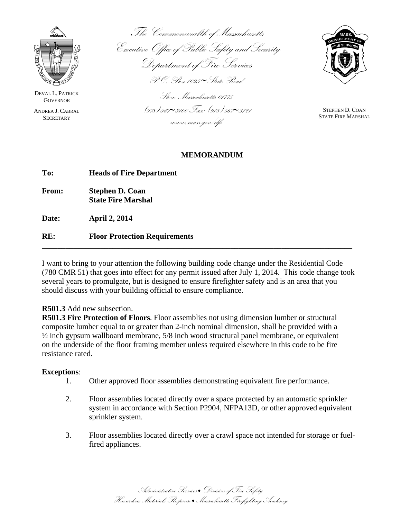

DEVAL L. PATRICK **GOVERNOR** 

ANDREA J. CABRAL **SECRETARY** 

The Commonwealth of Massachusetts Executive Office of Public Safety and Security Department of Fire Services P.O. Box 1025 ∼State Road

Stow, Massachusetts 01775 (978) 567∼3100 Fax: (978) 567∼3121 www.mass.gov/dfs



STEPHEN D. COAN STATE FIRE MARSHAL

## **MEMORANDUM**

| To:   | <b>Heads of Fire Department</b>                     |
|-------|-----------------------------------------------------|
| From: | <b>Stephen D. Coan</b><br><b>State Fire Marshal</b> |

**Date: April 2, 2014** 

**RE: Floor Protection Requirements** 

I want to bring to your attention the following building code change under the Residential Code (780 CMR 51) that goes into effect for any permit issued after July 1, 2014. This code change took several years to promulgate, but is designed to ensure firefighter safety and is an area that you should discuss with your building official to ensure compliance.

**\_\_\_\_\_\_\_\_\_\_\_\_\_\_\_\_\_\_\_\_\_\_\_\_\_\_\_\_\_\_\_\_\_\_\_\_\_\_\_\_\_\_\_\_\_\_\_\_\_\_\_\_\_\_\_\_\_\_\_\_\_\_\_\_\_\_\_\_\_\_\_\_\_\_\_\_\_\_\_** 

## **R501.3** Add new subsection.

**R501.3 Fire Protection of Floors**. Floor assemblies not using dimension lumber or structural composite lumber equal to or greater than 2-inch nominal dimension, shall be provided with a ½ inch gypsum wallboard membrane, 5/8 inch wood structural panel membrane, or equivalent on the underside of the floor framing member unless required elsewhere in this code to be fire resistance rated.

## **Exceptions**:

- 1. Other approved floor assemblies demonstrating equivalent fire performance.
- 2. Floor assemblies located directly over a space protected by an automatic sprinkler system in accordance with Section P2904, NFPA13D, or other approved equivalent sprinkler system.
- 3. Floor assemblies located directly over a crawl space not intended for storage or fuelfired appliances.

Administrative Services • Division of Fire Safety Hazardous Materials Response • Massachusetts Firefighting Academy